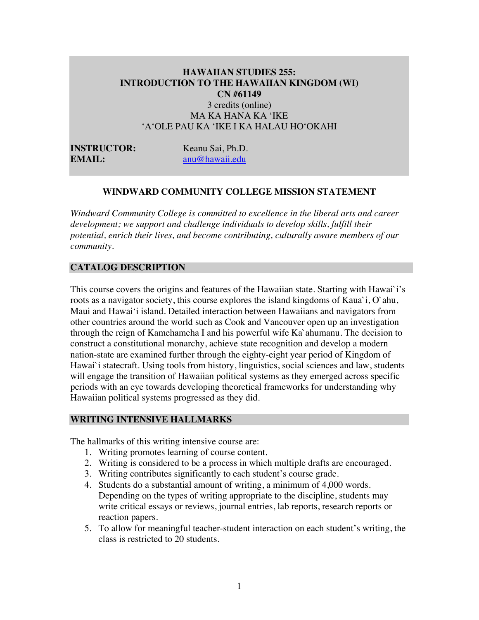#### **HAWAIIAN STUDIES 255: INTRODUCTION TO THE HAWAIIAN KINGDOM (WI) CN #61149** 3 credits (online)

MA KA HANA KA ʻIKE ʻAʻOLE PAU KA ʻIKE I KA HALAU HOʻOKAHI

**INSTRUCTOR:** Keanu Sai, Ph.D. **EMAIL:** anu@hawaii.edu

### **WINDWARD COMMUNITY COLLEGE MISSION STATEMENT**

*Windward Community College is committed to excellence in the liberal arts and career development; we support and challenge individuals to develop skills, fulfill their potential, enrich their lives, and become contributing, culturally aware members of our community.*

#### **CATALOG DESCRIPTION**

This course covers the origins and features of the Hawaiian state. Starting with Hawai`i's roots as a navigator society, this course explores the island kingdoms of Kaua`i, O`ahu, Maui and Hawai'i island. Detailed interaction between Hawaiians and navigators from other countries around the world such as Cook and Vancouver open up an investigation through the reign of Kamehameha I and his powerful wife Ka`ahumanu. The decision to construct a constitutional monarchy, achieve state recognition and develop a modern nation-state are examined further through the eighty-eight year period of Kingdom of Hawai`i statecraft. Using tools from history, linguistics, social sciences and law, students will engage the transition of Hawaiian political systems as they emerged across specific periods with an eye towards developing theoretical frameworks for understanding why Hawaiian political systems progressed as they did.

#### **WRITING INTENSIVE HALLMARKS**

The hallmarks of this writing intensive course are:

- 1. Writing promotes learning of course content.
- 2. Writing is considered to be a process in which multiple drafts are encouraged.
- 3. Writing contributes significantly to each student's course grade.
- 4. Students do a substantial amount of writing, a minimum of 4,000 words. Depending on the types of writing appropriate to the discipline, students may write critical essays or reviews, journal entries, lab reports, research reports or reaction papers.
- 5. To allow for meaningful teacher-student interaction on each student's writing, the class is restricted to 20 students.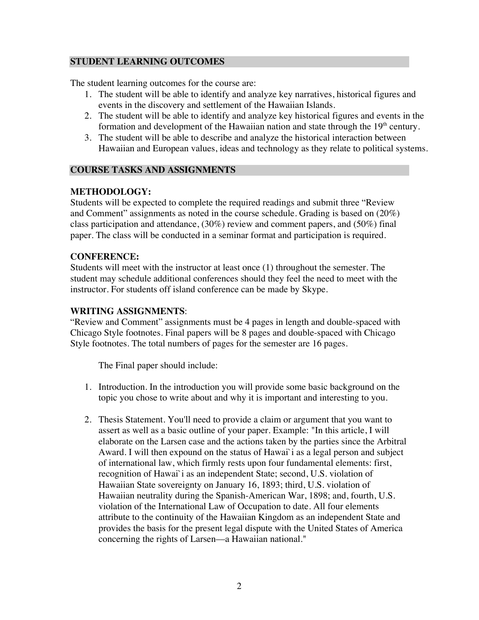#### **STUDENT LEARNING OUTCOMES**

The student learning outcomes for the course are:

- 1. The student will be able to identify and analyze key narratives, historical figures and events in the discovery and settlement of the Hawaiian Islands.
- 2. The student will be able to identify and analyze key historical figures and events in the formation and development of the Hawaiian nation and state through the  $19<sup>th</sup>$  century.
- 3. The student will be able to describe and analyze the historical interaction between Hawaiian and European values, ideas and technology as they relate to political systems.

# **COURSE TASKS AND ASSIGNMENTS**

# **METHODOLOGY:**

Students will be expected to complete the required readings and submit three "Review and Comment" assignments as noted in the course schedule. Grading is based on (20%) class participation and attendance, (30%) review and comment papers, and (50%) final paper. The class will be conducted in a seminar format and participation is required.

### **CONFERENCE:**

Students will meet with the instructor at least once (1) throughout the semester. The student may schedule additional conferences should they feel the need to meet with the instructor. For students off island conference can be made by Skype.

### **WRITING ASSIGNMENTS**:

"Review and Comment" assignments must be 4 pages in length and double-spaced with Chicago Style footnotes. Final papers will be 8 pages and double-spaced with Chicago Style footnotes. The total numbers of pages for the semester are 16 pages.

The Final paper should include:

- 1. Introduction. In the introduction you will provide some basic background on the topic you chose to write about and why it is important and interesting to you.
- 2. Thesis Statement. You'll need to provide a claim or argument that you want to assert as well as a basic outline of your paper. Example: "In this article, I will elaborate on the Larsen case and the actions taken by the parties since the Arbitral Award. I will then expound on the status of Hawai`i as a legal person and subject of international law, which firmly rests upon four fundamental elements: first, recognition of Hawai`i as an independent State; second, U.S. violation of Hawaiian State sovereignty on January 16, 1893; third, U.S. violation of Hawaiian neutrality during the Spanish-American War, 1898; and, fourth, U.S. violation of the International Law of Occupation to date. All four elements attribute to the continuity of the Hawaiian Kingdom as an independent State and provides the basis for the present legal dispute with the United States of America concerning the rights of Larsen––a Hawaiian national."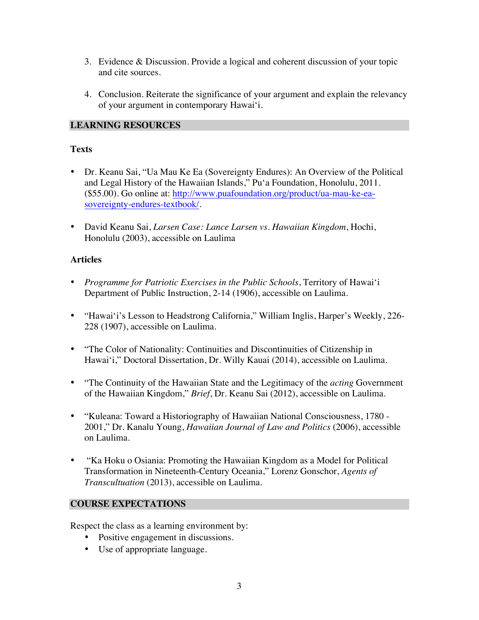- 3. Evidence & Discussion. Provide a logical and coherent discussion of your topic and cite sources.
- 4. Conclusion. Reiterate the significance of your argument and explain the relevancy of your argument in contemporary Hawai'i.

# **LEARNING RESOURCES**

# **Texts**

- Dr. Keanu Sai, "Ua Mau Ke Ea (Sovereignty Endures): An Overview of the Political and Legal History of the Hawaiian Islands," Pu'a Foundation, Honolulu, 2011. (\$55.00). Go online at: http://www.puafoundation.org/product/ua-mau-ke-easovereignty-endures-textbook/.
- David Keanu Sai, *Larsen Case: Lance Larsen vs. Hawaiian Kingdom*, Hochi, Honolulu (2003), accessible on Laulima

# **Articles**

- *Programme for Patriotic Exercises in the Public Schools*, Territory of Hawai'i Department of Public Instruction, 2-14 (1906), accessible on Laulima.
- "Hawai'i's Lesson to Headstrong California," William Inglis, Harper's Weekly, 226- 228 (1907), accessible on Laulima.
- "The Color of Nationality: Continuities and Discontinuities of Citizenship in Hawai'i," Doctoral Dissertation, Dr. Willy Kauai (2014), accessible on Laulima.
- "The Continuity of the Hawaiian State and the Legitimacy of the *acting* Government of the Hawaiian Kingdom," *Brief*, Dr. Keanu Sai (2012), accessible on Laulima.
- "Kuleana: Toward a Historiography of Hawaiian National Consciousness, 1780 2001," Dr. Kanalu Young, *Hawaiian Journal of Law and Politics* (2006), accessible on Laulima.
- "Ka Hoku o Osiania: Promoting the Hawaiian Kingdom as a Model for Political Transformation in Nineteenth-Century Oceania," Lorenz Gonschor, *Agents of Transcultuation* (2013), accessible on Laulima.

### **COURSE EXPECTATIONS**

Respect the class as a learning environment by:

- Positive engagement in discussions.
- Use of appropriate language.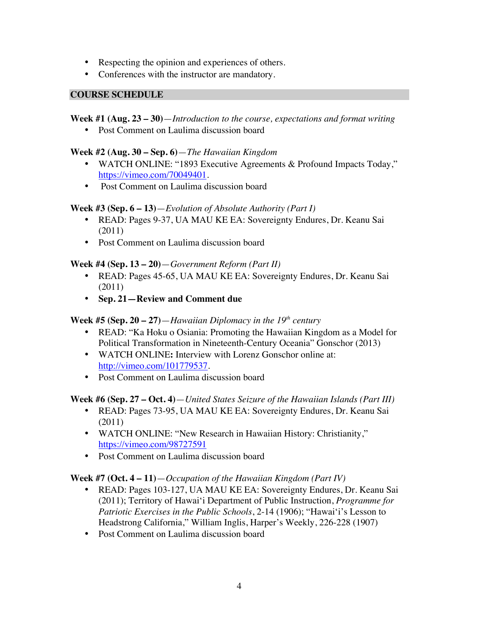- Respecting the opinion and experiences of others*.*
- Conferences with the instructor are mandatory.

#### **COURSE SCHEDULE**

### **Week #1 (Aug. 23 – 30)**—*Introduction to the course, expectations and format writing*

• Post Comment on Laulima discussion board

### **Week #2 (Aug. 30 – Sep. 6)**—*The Hawaiian Kingdom*

- WATCH ONLINE: "1893 Executive Agreements & Profound Impacts Today," https://vimeo.com/70049401.
- Post Comment on Laulima discussion board

### **Week #3 (Sep. 6 – 13)**—*Evolution of Absolute Authority (Part I)*

- READ: Pages 9-37, UA MAU KE EA: Sovereignty Endures, Dr. Keanu Sai (2011)
- Post Comment on Laulima discussion board

### **Week #4 (Sep. 13 – 20)**—*Government Reform (Part II)*

- READ: Pages 45-65, UA MAU KE EA: Sovereignty Endures, Dr. Keanu Sai (2011)
- **Sep. 21—Review and Comment due**

# **Week #5 (Sep. 20 – 27)**—*Hawaiian Diplomacy in the 19th century*

- READ: "Ka Hoku o Osiania: Promoting the Hawaiian Kingdom as a Model for Political Transformation in Nineteenth-Century Oceania" Gonschor (2013)
- WATCH ONLINE**:** Interview with Lorenz Gonschor online at: http://vimeo.com/101779537.
- Post Comment on Laulima discussion board

### **Week #6 (Sep. 27 – Oct. 4)**—*United States Seizure of the Hawaiian Islands (Part III)*

- READ: Pages 73-95, UA MAU KE EA: Sovereignty Endures, Dr. Keanu Sai (2011)
- WATCH ONLINE: "New Research in Hawaiian History: Christianity," https://vimeo.com/98727591
- Post Comment on Laulima discussion board

### **Week #7 (Oct. 4 – 11)**—*Occupation of the Hawaiian Kingdom (Part IV)*

- READ: Pages 103-127, UA MAU KE EA: Sovereignty Endures, Dr. Keanu Sai (2011); Territory of Hawai'i Department of Public Instruction, *Programme for Patriotic Exercises in the Public Schools*, 2-14 (1906); "Hawai'i's Lesson to Headstrong California," William Inglis, Harper's Weekly, 226-228 (1907)
- Post Comment on Laulima discussion board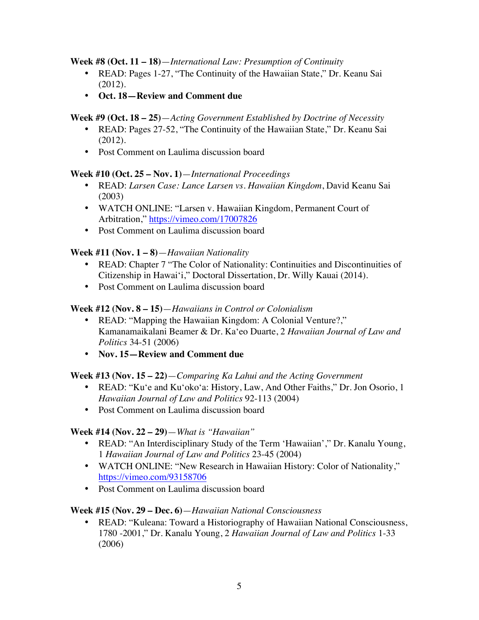#### **Week #8 (Oct. 11 – 18)**—*International Law: Presumption of Continuity*

- READ: Pages 1-27, "The Continuity of the Hawaiian State," Dr. Keanu Sai (2012).
- **Oct. 18—Review and Comment due**

### **Week #9 (Oct. 18 – 25)**—*Acting Government Established by Doctrine of Necessity*

- READ: Pages 27-52, "The Continuity of the Hawaiian State," Dr. Keanu Sai (2012).
- Post Comment on Laulima discussion board

### **Week #10 (Oct. 25 – Nov. 1)**—*International Proceedings*

- READ: *Larsen Case: Lance Larsen vs. Hawaiian Kingdom*, David Keanu Sai (2003)
- WATCH ONLINE: "Larsen v. Hawaiian Kingdom, Permanent Court of Arbitration," https://vimeo.com/17007826
- Post Comment on Laulima discussion board

# **Week #11 (Nov. 1 – 8)**—*Hawaiian Nationality*

- READ: Chapter 7 "The Color of Nationality: Continuities and Discontinuities of Citizenship in Hawai'i," Doctoral Dissertation, Dr. Willy Kauai (2014).
- Post Comment on Laulima discussion board

# **Week #12 (Nov. 8 – 15)**—*Hawaiians in Control or Colonialism*

- READ: "Mapping the Hawaiian Kingdom: A Colonial Venture?," Kamanamaikalani Beamer & Dr. Ka'eo Duarte, 2 *Hawaiian Journal of Law and Politics* 34-51 (2006)
- **Nov. 15—Review and Comment due**

### **Week #13 (Nov. 15 – 22)**—*Comparing Ka Lahui and the Acting Government*

- READ: "Ku'e and Ku'oko'a: History, Law, And Other Faiths," Dr. Jon Osorio, 1 *Hawaiian Journal of Law and Politics* 92-113 (2004)
- Post Comment on Laulima discussion board

### **Week #14 (Nov. 22 – 29)**—*What is "Hawaiian"*

- READ: "An Interdisciplinary Study of the Term 'Hawaiian'," Dr. Kanalu Young, 1 *Hawaiian Journal of Law and Politics* 23-45 (2004)
- WATCH ONLINE: "New Research in Hawaiian History: Color of Nationality," https://vimeo.com/93158706
- Post Comment on Laulima discussion board

### **Week #15 (Nov. 29 – Dec. 6)**—*Hawaiian National Consciousness*

• READ: "Kuleana: Toward a Historiography of Hawaiian National Consciousness, 1780 -2001," Dr. Kanalu Young, 2 *Hawaiian Journal of Law and Politics* 1-33 (2006)